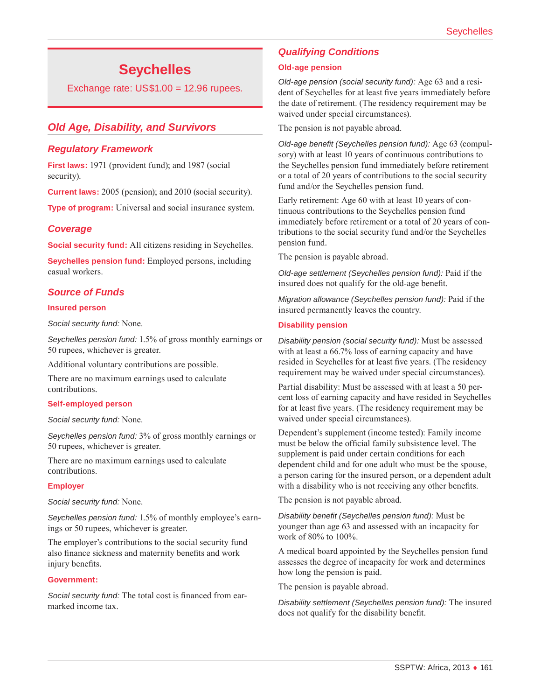# **Seychelles**

Exchange rate: US\$1.00 = 12.96 rupees.

# *Old Age, Disability, and Survivors*

### *Regulatory Framework*

**First laws:** 1971 (provident fund); and 1987 (social security).

**Current laws:** 2005 (pension); and 2010 (social security).

**Type of program:** Universal and social insurance system.

### *Coverage*

**Social security fund:** All citizens residing in Seychelles.

**Seychelles pension fund:** Employed persons, including casual workers.

### *Source of Funds*

#### **Insured person**

*Social security fund:* None.

*Seychelles pension fund:* 1.5% of gross monthly earnings or 50 rupees, whichever is greater.

Additional voluntary contributions are possible.

There are no maximum earnings used to calculate contributions.

#### **Self-employed person**

#### *Social security fund:* None.

*Seychelles pension fund:* 3% of gross monthly earnings or 50 rupees, whichever is greater.

There are no maximum earnings used to calculate contributions.

#### **Employer**

*Social security fund:* None.

*Seychelles pension fund:* 1.5% of monthly employee's earnings or 50 rupees, whichever is greater.

The employer's contributions to the social security fund also finance sickness and maternity benefits and work injury benefits.

#### **Government:**

*Social security fund:* The total cost is financed from earmarked income tax.

# *Qualifying Conditions*

#### **Old-age pension**

*Old-age pension (social security fund):* Age 63 and a resident of Seychelles for at least five years immediately before the date of retirement. (The residency requirement may be waived under special circumstances).

The pension is not payable abroad.

*Old-age benefit (Seychelles pension fund):* Age 63 (compulsory) with at least 10 years of continuous contributions to the Seychelles pension fund immediately before retirement or a total of 20 years of contributions to the social security fund and/or the Seychelles pension fund.

Early retirement: Age 60 with at least 10 years of continuous contributions to the Seychelles pension fund immediately before retirement or a total of 20 years of contributions to the social security fund and/or the Seychelles pension fund.

The pension is payable abroad.

*Old-age settlement (Seychelles pension fund):* Paid if the insured does not qualify for the old-age benefit.

*Migration allowance (Seychelles pension fund):* Paid if the insured permanently leaves the country.

#### **Disability pension**

*Disability pension (social security fund):* Must be assessed with at least a 66.7% loss of earning capacity and have resided in Seychelles for at least five years. (The residency requirement may be waived under special circumstances).

Partial disability: Must be assessed with at least a 50 percent loss of earning capacity and have resided in Seychelles for at least five years. (The residency requirement may be waived under special circumstances).

Dependent's supplement (income tested): Family income must be below the official family subsistence level. The supplement is paid under certain conditions for each dependent child and for one adult who must be the spouse, a person caring for the insured person, or a dependent adult with a disability who is not receiving any other benefits.

The pension is not payable abroad.

*Disability benefit (Seychelles pension fund):* Must be younger than age 63 and assessed with an incapacity for work of 80% to 100%.

A medical board appointed by the Seychelles pension fund assesses the degree of incapacity for work and determines how long the pension is paid.

The pension is payable abroad.

*Disability settlement (Seychelles pension fund):* The insured does not qualify for the disability benefit.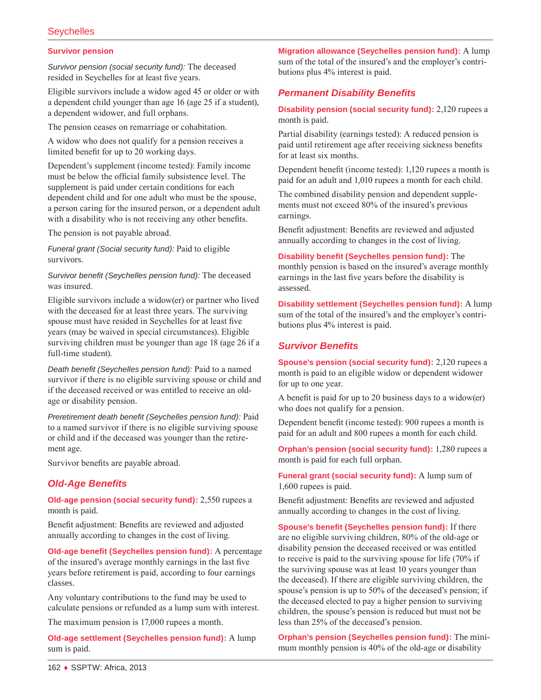# **Seychelles**

#### **Survivor pension**

*Survivor pension (social security fund):* The deceased resided in Seychelles for at least five years.

Eligible survivors include a widow aged 45 or older or with a dependent child younger than age 16 (age 25 if a student), a dependent widower, and full orphans.

The pension ceases on remarriage or cohabitation.

A widow who does not qualify for a pension receives a limited benefit for up to 20 working days.

Dependent's supplement (income tested): Family income must be below the official family subsistence level. The supplement is paid under certain conditions for each dependent child and for one adult who must be the spouse, a person caring for the insured person, or a dependent adult with a disability who is not receiving any other benefits.

The pension is not payable abroad.

*Funeral grant (Social security fund):* Paid to eligible survivors.

*Survivor benefit (Seychelles pension fund):* The deceased was insured.

Eligible survivors include a widow(er) or partner who lived with the deceased for at least three years. The surviving spouse must have resided in Seychelles for at least five years (may be waived in special circumstances). Eligible surviving children must be younger than age 18 (age 26 if a full-time student).

*Death benefit (Seychelles pension fund):* Paid to a named survivor if there is no eligible surviving spouse or child and if the deceased received or was entitled to receive an oldage or disability pension.

*Preretirement death benefit (Seychelles pension fund):* Paid to a named survivor if there is no eligible surviving spouse or child and if the deceased was younger than the retirement age.

Survivor benefits are payable abroad.

# *Old-Age Benefits*

**Old-age pension (social security fund):** 2,550 rupees a month is paid.

Benefit adjustment: Benefits are reviewed and adjusted annually according to changes in the cost of living.

**Old-age benefit (Seychelles pension fund):** A percentage of the insured's average monthly earnings in the last five years before retirement is paid, according to four earnings classes.

Any voluntary contributions to the fund may be used to calculate pensions or refunded as a lump sum with interest.

The maximum pension is 17,000 rupees a month.

**Old-age settlement (Seychelles pension fund):** A lump sum is paid.

**Migration allowance (Seychelles pension fund):** A lump sum of the total of the insured's and the employer's contributions plus 4% interest is paid.

# *Permanent Disability Benefits*

**Disability pension (social security fund):** 2,120 rupees a month is paid.

Partial disability (earnings tested): A reduced pension is paid until retirement age after receiving sickness benefits for at least six months.

Dependent benefit (income tested): 1,120 rupees a month is paid for an adult and 1,010 rupees a month for each child.

The combined disability pension and dependent supplements must not exceed 80% of the insured's previous earnings.

Benefit adjustment: Benefits are reviewed and adjusted annually according to changes in the cost of living.

**Disability benefit (Seychelles pension fund):** The monthly pension is based on the insured's average monthly earnings in the last five years before the disability is assessed.

**Disability settlement (Seychelles pension fund):** A lump sum of the total of the insured's and the employer's contributions plus 4% interest is paid.

### *Survivor Benefits*

**Spouse's pension (social security fund):** 2,120 rupees a month is paid to an eligible widow or dependent widower for up to one year.

A benefit is paid for up to 20 business days to a widow(er) who does not qualify for a pension.

Dependent benefit (income tested): 900 rupees a month is paid for an adult and 800 rupees a month for each child.

**Orphan's pension (social security fund):** 1,280 rupees a month is paid for each full orphan.

**Funeral grant (social security fund):** A lump sum of 1,600 rupees is paid.

Benefit adjustment: Benefits are reviewed and adjusted annually according to changes in the cost of living.

**Spouse's benefit (Seychelles pension fund):** If there are no eligible surviving children, 80% of the old-age or disability pension the deceased received or was entitled to receive is paid to the surviving spouse for life (70% if the surviving spouse was at least 10 years younger than the deceased). If there are eligible surviving children, the spouse's pension is up to 50% of the deceased's pension; if the deceased elected to pay a higher pension to surviving children, the spouse's pension is reduced but must not be less than 25% of the deceased's pension.

**Orphan's pension (Seychelles pension fund):** The minimum monthly pension is 40% of the old-age or disability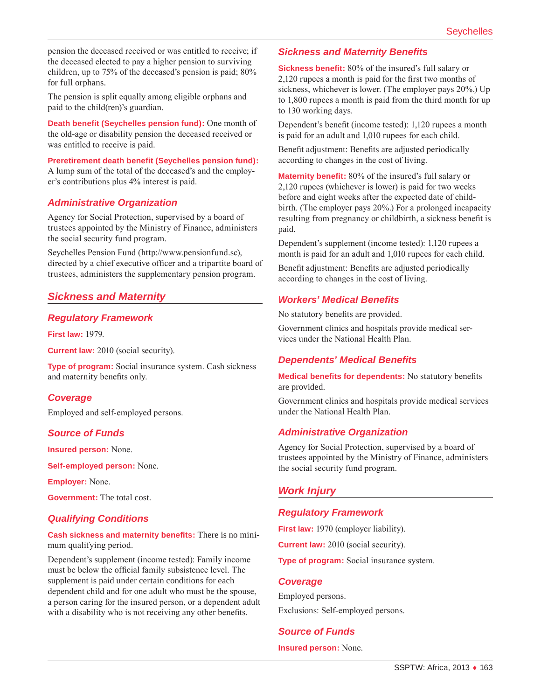pension the deceased received or was entitled to receive; if the deceased elected to pay a higher pension to surviving children, up to 75% of the deceased's pension is paid; 80% for full orphans.

The pension is split equally among eligible orphans and paid to the child(ren)'s guardian.

**Death benefit (Seychelles pension fund):** One month of the old-age or disability pension the deceased received or was entitled to receive is paid.

**Preretirement death benefit (Seychelles pension fund):** A lump sum of the total of the deceased's and the employer's contributions plus 4% interest is paid.

### *Administrative Organization*

Agency for Social Protection, supervised by a board of trustees appointed by the Ministry of Finance, administers the social security fund program.

Seychelles Pension Fund ([http://www.pensionfund.sc\)](http://www.pensionfund.sc), directed by a chief executive officer and a tripartite board of trustees, administers the supplementary pension program.

# *Sickness and Maternity*

### *Regulatory Framework*

**First law:** 1979.

**Current law:** 2010 (social security).

**Type of program:** Social insurance system. Cash sickness and maternity benefits only.

### *Coverage*

Employed and self-employed persons.

### *Source of Funds*

**Insured person:** None.

**Self-employed person:** None.

**Employer:** None.

**Government:** The total cost.

### *Qualifying Conditions*

#### **Cash sickness and maternity benefits:** There is no minimum qualifying period.

Dependent's supplement (income tested): Family income must be below the official family subsistence level. The supplement is paid under certain conditions for each dependent child and for one adult who must be the spouse, a person caring for the insured person, or a dependent adult with a disability who is not receiving any other benefits.

### *Sickness and Maternity Benefits*

**Sickness benefit:** 80% of the insured's full salary or 2,120 rupees a month is paid for the first two months of sickness, whichever is lower. (The employer pays 20%.) Up to 1,800 rupees a month is paid from the third month for up to 130 working days.

Dependent's benefit (income tested): 1,120 rupees a month is paid for an adult and 1,010 rupees for each child.

Benefit adjustment: Benefits are adjusted periodically according to changes in the cost of living.

**Maternity benefit:** 80% of the insured's full salary or 2,120 rupees (whichever is lower) is paid for two weeks before and eight weeks after the expected date of childbirth. (The employer pays 20%.) For a prolonged incapacity resulting from pregnancy or childbirth, a sickness benefit is paid.

Dependent's supplement (income tested): 1,120 rupees a month is paid for an adult and 1,010 rupees for each child.

Benefit adjustment: Benefits are adjusted periodically according to changes in the cost of living.

### *Workers' Medical Benefits*

No statutory benefits are provided.

Government clinics and hospitals provide medical services under the National Health Plan.

#### *Dependents' Medical Benefits*

**Medical benefits for dependents:** No statutory benefits are provided.

Government clinics and hospitals provide medical services under the National Health Plan.

#### *Administrative Organization*

Agency for Social Protection, supervised by a board of trustees appointed by the Ministry of Finance, administers the social security fund program.

# *Work Injury*

#### *Regulatory Framework*

**First law:** 1970 (employer liability). **Current law:** 2010 (social security). **Type of program:** Social insurance system.

### *Coverage*

Employed persons. Exclusions: Self-employed persons.

### *Source of Funds*

**Insured person:** None.